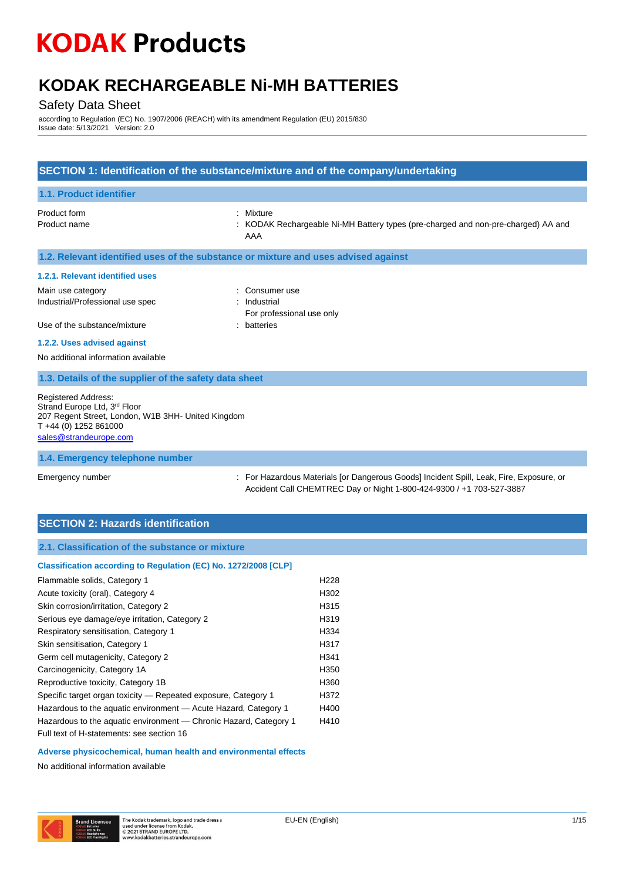## **KODAK RECHARGEABLE Ni-MH BATTERIES**

### Safety Data Sheet

according to Regulation (EC) No. 1907/2006 (REACH) with its amendment Regulation (EU) 2015/830 Issue date: 5/13/2021 Version: 2.0

| SECTION 1: Identification of the substance/mixture and of the company/undertaking                                                                                               |                                                                                                                                                               |  |
|---------------------------------------------------------------------------------------------------------------------------------------------------------------------------------|---------------------------------------------------------------------------------------------------------------------------------------------------------------|--|
| 1.1. Product identifier                                                                                                                                                         |                                                                                                                                                               |  |
| Product form<br>Product name                                                                                                                                                    | : Mixture<br>: KODAK Rechargeable Ni-MH Battery types (pre-charged and non-pre-charged) AA and<br>AAA                                                         |  |
| 1.2. Relevant identified uses of the substance or mixture and uses advised against                                                                                              |                                                                                                                                                               |  |
| 1.2.1. Relevant identified uses                                                                                                                                                 |                                                                                                                                                               |  |
| Main use category<br>Industrial/Professional use spec                                                                                                                           | : Consumer use<br>: Industrial<br>For professional use only                                                                                                   |  |
| Use of the substance/mixture                                                                                                                                                    | : batteries                                                                                                                                                   |  |
| 1.2.2. Uses advised against<br>No additional information available                                                                                                              |                                                                                                                                                               |  |
| 1.3. Details of the supplier of the safety data sheet                                                                                                                           |                                                                                                                                                               |  |
| <b>Registered Address:</b><br>Strand Europe Ltd, 3 <sup>rd</sup> Floor<br>207 Regent Street, London, W1B 3HH- United Kingdom<br>T +44 (0) 1252 861000<br>sales@strandeurope.com |                                                                                                                                                               |  |
| 1.4. Emergency telephone number                                                                                                                                                 |                                                                                                                                                               |  |
| Emergency number                                                                                                                                                                | For Hazardous Materials for Dangerous Goods] Incident Spill, Leak, Fire, Exposure, or<br>Accident Call CHEMTREC Day or Night 1-800-424-9300 / +1 703-527-3887 |  |

## **SECTION 2: Hazards identification**

| Classification according to Regulation (EC) No. 1272/2008 [CLP]   |                  |
|-------------------------------------------------------------------|------------------|
| Flammable solids, Category 1                                      | H <sub>228</sub> |
| Acute toxicity (oral), Category 4                                 | H302             |
| Skin corrosion/irritation, Category 2                             | H315             |
| Serious eye damage/eye irritation, Category 2                     | H319             |
| Respiratory sensitisation, Category 1                             | H334             |
| Skin sensitisation, Category 1                                    | H317             |
| Germ cell mutagenicity, Category 2                                | H341             |
| Carcinogenicity, Category 1A                                      | H350             |
| Reproductive toxicity, Category 1B                                | H360             |
| Specific target organ toxicity - Repeated exposure, Category 1    | H372             |
| Hazardous to the aquatic environment - Acute Hazard, Category 1   | H400             |
| Hazardous to the aquatic environment — Chronic Hazard, Category 1 | H410             |
| Full text of H-statements: see section 16                         |                  |
|                                                                   |                  |

#### **Adverse physicochemical, human health and environmental effects**

No additional information available

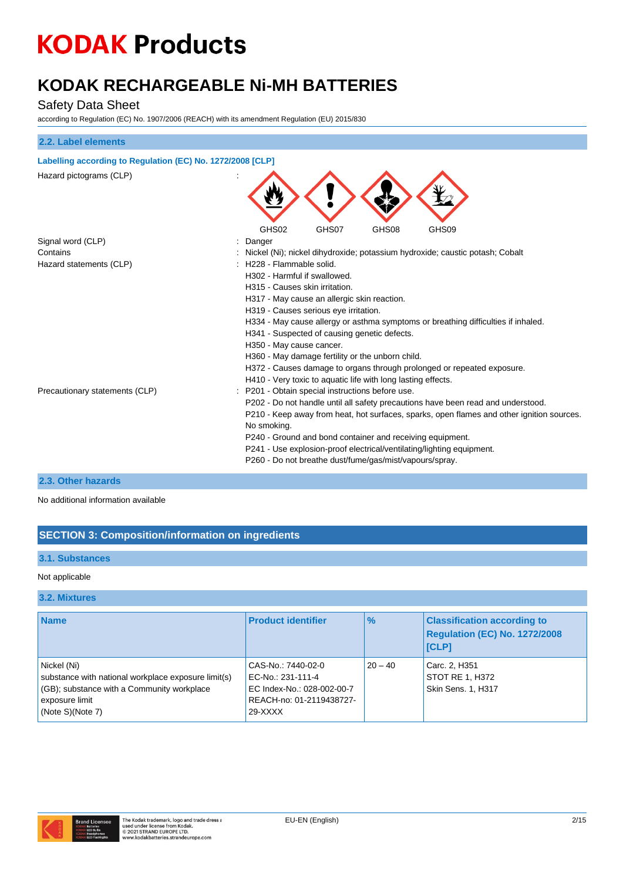# **KODAK RECHARGEABLE Ni-MH BATTERIES**

## Safety Data Sheet

according to Regulation (EC) No. 1907/2006 (REACH) with its amendment Regulation (EU) 2015/830

| 2.2. Label elements                                        |                                                                                                                                                                                                                                                                                                                                                                                                                                                                                                                                                  |
|------------------------------------------------------------|--------------------------------------------------------------------------------------------------------------------------------------------------------------------------------------------------------------------------------------------------------------------------------------------------------------------------------------------------------------------------------------------------------------------------------------------------------------------------------------------------------------------------------------------------|
| Labelling according to Regulation (EC) No. 1272/2008 [CLP] |                                                                                                                                                                                                                                                                                                                                                                                                                                                                                                                                                  |
| Hazard pictograms (CLP)                                    |                                                                                                                                                                                                                                                                                                                                                                                                                                                                                                                                                  |
|                                                            | GHS02<br>GHS07<br>GHS08<br>GHS09                                                                                                                                                                                                                                                                                                                                                                                                                                                                                                                 |
| Signal word (CLP)                                          | Danger                                                                                                                                                                                                                                                                                                                                                                                                                                                                                                                                           |
| Contains                                                   | Nickel (Ni); nickel dihydroxide; potassium hydroxide; caustic potash; Cobalt                                                                                                                                                                                                                                                                                                                                                                                                                                                                     |
| Hazard statements (CLP)                                    | H228 - Flammable solid.<br>H302 - Harmful if swallowed.<br>H315 - Causes skin irritation.<br>H317 - May cause an allergic skin reaction.<br>H319 - Causes serious eye irritation.<br>H334 - May cause allergy or asthma symptoms or breathing difficulties if inhaled.<br>H341 - Suspected of causing genetic defects.<br>H350 - May cause cancer.<br>H360 - May damage fertility or the unborn child.<br>H372 - Causes damage to organs through prolonged or repeated exposure.<br>H410 - Very toxic to aquatic life with long lasting effects. |
| Precautionary statements (CLP)                             | P201 - Obtain special instructions before use.<br>P202 - Do not handle until all safety precautions have been read and understood.<br>P210 - Keep away from heat, hot surfaces, sparks, open flames and other ignition sources.<br>No smoking.<br>P240 - Ground and bond container and receiving equipment.<br>P241 - Use explosion-proof electrical/ventilating/lighting equipment.<br>P260 - Do not breathe dust/fume/gas/mist/vapours/spray.                                                                                                  |

#### **2.3. Other hazards**

No additional information available

### **SECTION 3: Composition/information on ingredients**

### **3.1. Substances**

#### Not applicable

#### **3.2. Mixtures**

| <b>Name</b>                                                                                                                                            | <b>Product identifier</b>                                                                                    | $\frac{9}{6}$ | <b>Classification according to</b><br>Regulation (EC) No. 1272/2008<br><b>ICLPI</b> |
|--------------------------------------------------------------------------------------------------------------------------------------------------------|--------------------------------------------------------------------------------------------------------------|---------------|-------------------------------------------------------------------------------------|
| Nickel (Ni)<br>substance with national workplace exposure limit(s)<br>(GB); substance with a Community workplace<br>exposure limit<br>(Note S)(Note 7) | CAS-No.: 7440-02-0<br>EC-No.: 231-111-4<br>EC Index-No.: 028-002-00-7<br>REACH-no: 01-2119438727-<br>29-XXXX | $20 - 40$     | Carc. 2, H351<br>STOT RE 1, H372<br>Skin Sens. 1, H317                              |

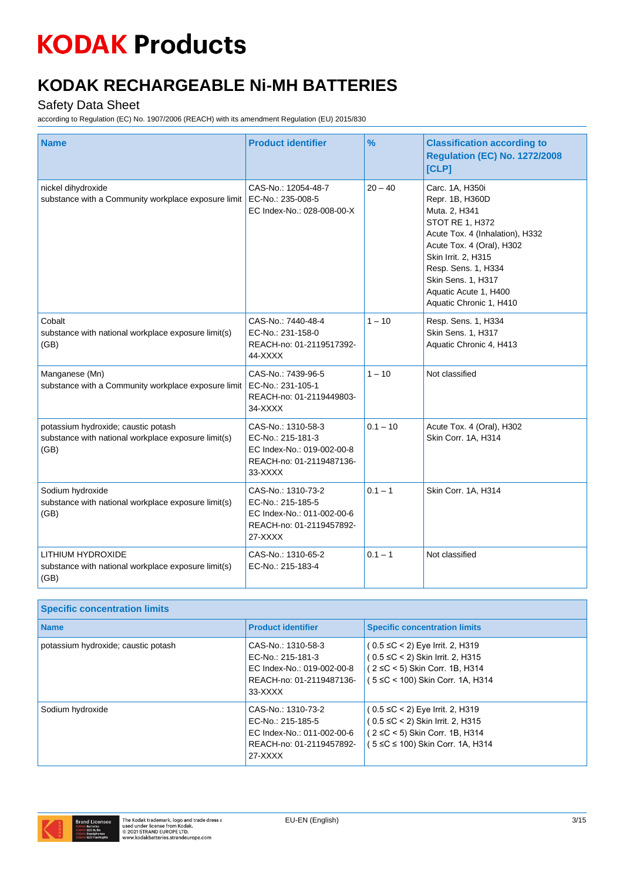# **KODAK RECHARGEABLE Ni-MH BATTERIES**

## Safety Data Sheet

| <b>Name</b>                                                                                        | <b>Product identifier</b>                                                                                    | $\%$       | <b>Classification according to</b><br><b>Regulation (EC) No. 1272/2008</b><br>[CLP]                                                                                                                                                                            |
|----------------------------------------------------------------------------------------------------|--------------------------------------------------------------------------------------------------------------|------------|----------------------------------------------------------------------------------------------------------------------------------------------------------------------------------------------------------------------------------------------------------------|
| nickel dihydroxide<br>substance with a Community workplace exposure limit                          | CAS-No.: 12054-48-7<br>EC-No.: 235-008-5<br>EC Index-No.: 028-008-00-X                                       | $20 - 40$  | Carc. 1A, H350i<br>Repr. 1B, H360D<br>Muta. 2, H341<br>STOT RE 1, H372<br>Acute Tox. 4 (Inhalation), H332<br>Acute Tox. 4 (Oral), H302<br>Skin Irrit. 2, H315<br>Resp. Sens. 1, H334<br>Skin Sens. 1, H317<br>Aquatic Acute 1, H400<br>Aquatic Chronic 1, H410 |
| Cobalt<br>substance with national workplace exposure limit(s)<br>(GB)                              | CAS-No.: 7440-48-4<br>EC-No.: 231-158-0<br>REACH-no: 01-2119517392-<br>44-XXXX                               | $1 - 10$   | Resp. Sens. 1, H334<br>Skin Sens. 1, H317<br>Aquatic Chronic 4, H413                                                                                                                                                                                           |
| Manganese (Mn)<br>substance with a Community workplace exposure limit                              | CAS-No.: 7439-96-5<br>EC-No.: 231-105-1<br>REACH-no: 01-2119449803-<br>34-XXXX                               | $1 - 10$   | Not classified                                                                                                                                                                                                                                                 |
| potassium hydroxide; caustic potash<br>substance with national workplace exposure limit(s)<br>(GB) | CAS-No.: 1310-58-3<br>EC-No.: 215-181-3<br>EC Index-No.: 019-002-00-8<br>REACH-no: 01-2119487136-<br>33-XXXX | $0.1 - 10$ | Acute Tox. 4 (Oral), H302<br>Skin Corr. 1A, H314                                                                                                                                                                                                               |
| Sodium hydroxide<br>substance with national workplace exposure limit(s)<br>(GB)                    | CAS-No.: 1310-73-2<br>EC-No.: 215-185-5<br>EC Index-No.: 011-002-00-6<br>REACH-no: 01-2119457892-<br>27-XXXX | $0.1 - 1$  | Skin Corr. 1A, H314                                                                                                                                                                                                                                            |
| LITHIUM HYDROXIDE<br>substance with national workplace exposure limit(s)<br>(GB)                   | CAS-No.: 1310-65-2<br>EC-No.: 215-183-4                                                                      | $0.1 - 1$  | Not classified                                                                                                                                                                                                                                                 |

| <b>Specific concentration limits</b> |                                                                                                                |                                                                                                                                                    |
|--------------------------------------|----------------------------------------------------------------------------------------------------------------|----------------------------------------------------------------------------------------------------------------------------------------------------|
| <b>Name</b>                          | <b>Product identifier</b>                                                                                      | <b>Specific concentration limits</b>                                                                                                               |
| potassium hydroxide; caustic potash  | CAS-No.: 1310-58-3<br>EC-No.: 215-181-3<br>EC Index-No.: 019-002-00-8<br>REACH-no: 01-2119487136-<br>$33-XXXX$ | $(0.5 ≤ C < 2)$ Eye Irrit. 2, H319<br>$(0.5 \leq C < 2)$ Skin Irrit. 2, H315<br>(2 ≤C < 5) Skin Corr. 1B, H314<br>(5 ≤C < 100) Skin Corr. 1A, H314 |
| Sodium hydroxide                     | CAS-No.: 1310-73-2<br>EC-No.: 215-185-5<br>EC Index-No.: 011-002-00-6<br>REACH-no: 01-2119457892-<br>$27-XXXX$ | $(0.5 ≤ C < 2)$ Eye Irrit. 2, H319<br>$(0.5 \leq C < 2)$ Skin Irrit. 2, H315<br>(2 ≤C < 5) Skin Corr. 1B, H314<br>(5 ≤C ≤ 100) Skin Corr. 1A, H314 |

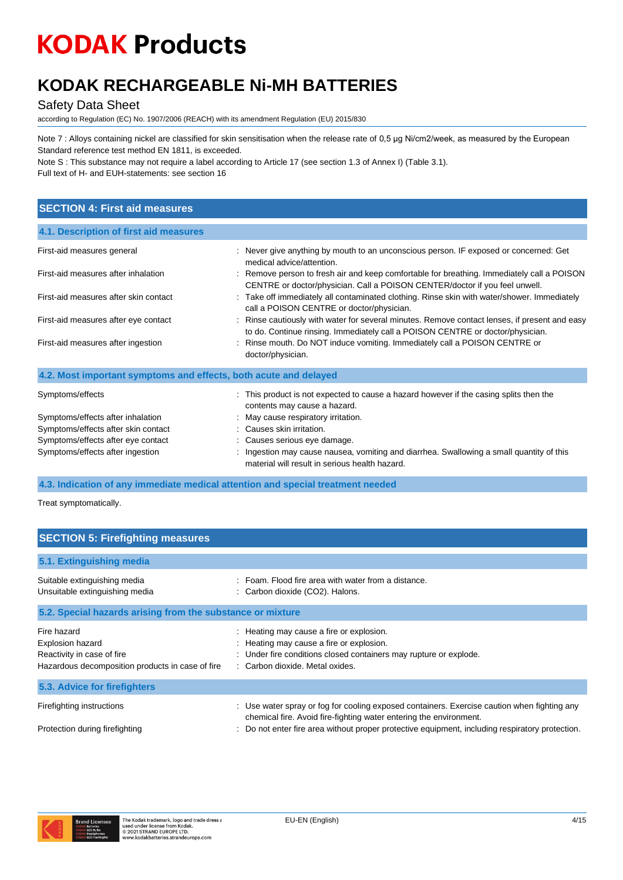## **KODAK RECHARGEABLE Ni-MH BATTERIES**

### Safety Data Sheet

according to Regulation (EC) No. 1907/2006 (REACH) with its amendment Regulation (EU) 2015/830

Note 7 : Alloys containing nickel are classified for skin sensitisation when the release rate of 0,5 μg Ni/cm2/week, as measured by the European Standard reference test method EN 1811, is exceeded.

Note S : This substance may not require a label according to Article 17 (see section 1.3 of Annex I) (Table 3.1). Full text of H- and EUH-statements: see section 16

### **SECTION 4: First aid measures**

| 4.1. Description of first aid measures                           |                                                                                                                                                                                 |
|------------------------------------------------------------------|---------------------------------------------------------------------------------------------------------------------------------------------------------------------------------|
| First-aid measures general                                       | : Never give anything by mouth to an unconscious person. IF exposed or concerned: Get<br>medical advice/attention.                                                              |
| First-aid measures after inhalation                              | : Remove person to fresh air and keep comfortable for breathing. Immediately call a POISON<br>CENTRE or doctor/physician. Call a POISON CENTER/doctor if you feel unwell.       |
| First-aid measures after skin contact                            | : Take off immediately all contaminated clothing. Rinse skin with water/shower. Immediately<br>call a POISON CENTRE or doctor/physician.                                        |
| First-aid measures after eye contact                             | : Rinse cautiously with water for several minutes. Remove contact lenses, if present and easy<br>to do. Continue rinsing. Immediately call a POISON CENTRE or doctor/physician. |
| First-aid measures after ingestion                               | : Rinse mouth. Do NOT induce vomiting. Immediately call a POISON CENTRE or<br>doctor/physician.                                                                                 |
| 4.2. Most important symptoms and effects, both acute and delayed |                                                                                                                                                                                 |
| Symptoms/effects                                                 | : This product is not expected to cause a hazard however if the casing splits then the<br>contents may cause a hazard.                                                          |
| Symptoms/effects after inhalation                                | : May cause respiratory irritation.                                                                                                                                             |
| Symptoms/effects after skin contact                              | : Causes skin irritation.                                                                                                                                                       |
| Symptoms/effects after eye contact                               | : Causes serious eye damage.                                                                                                                                                    |
| Symptoms/effects after ingestion                                 | : Ingestion may cause nausea, vomiting and diarrhea. Swallowing a small quantity of this<br>material will result in serious health hazard.                                      |

**4.3. Indication of any immediate medical attention and special treatment needed**

Treat symptomatically.

| <b>SECTION 5: Firefighting measures</b>                                                                           |                                                                                                                                                                                              |  |  |
|-------------------------------------------------------------------------------------------------------------------|----------------------------------------------------------------------------------------------------------------------------------------------------------------------------------------------|--|--|
| 5.1. Extinguishing media                                                                                          |                                                                                                                                                                                              |  |  |
| Suitable extinguishing media<br>Unsuitable extinguishing media                                                    | : Foam. Flood fire area with water from a distance.<br>: Carbon dioxide (CO2). Halons.                                                                                                       |  |  |
| 5.2. Special hazards arising from the substance or mixture                                                        |                                                                                                                                                                                              |  |  |
| Fire hazard<br>Explosion hazard<br>Reactivity in case of fire<br>Hazardous decomposition products in case of fire | : Heating may cause a fire or explosion.<br>: Heating may cause a fire or explosion.<br>: Under fire conditions closed containers may rupture or explode.<br>: Carbon dioxide. Metal oxides. |  |  |
| 5.3. Advice for firefighters                                                                                      |                                                                                                                                                                                              |  |  |
| Firefighting instructions                                                                                         | : Use water spray or fog for cooling exposed containers. Exercise caution when fighting any<br>chemical fire. Avoid fire-fighting water entering the environment.                            |  |  |
| Protection during firefighting                                                                                    | : Do not enter fire area without proper protective equipment, including respiratory protection.                                                                                              |  |  |

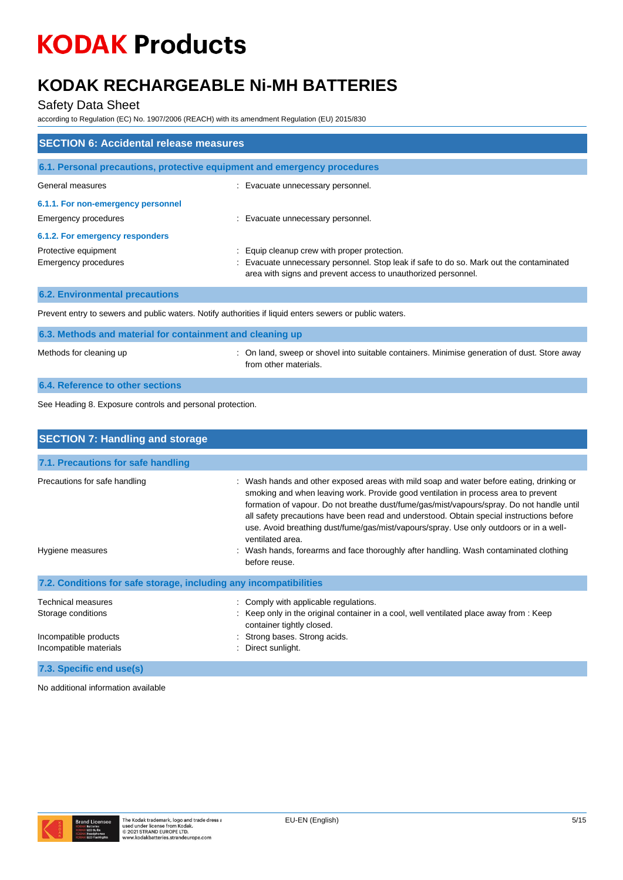# **KODAK RECHARGEABLE Ni-MH BATTERIES**

### Safety Data Sheet

according to Regulation (EC) No. 1907/2006 (REACH) with its amendment Regulation (EU) 2015/830

| <b>SECTION 6: Accidental release measures</b>       |                                                                                                                                                                                                        |  |
|-----------------------------------------------------|--------------------------------------------------------------------------------------------------------------------------------------------------------------------------------------------------------|--|
|                                                     | 6.1. Personal precautions, protective equipment and emergency procedures                                                                                                                               |  |
| General measures                                    | : Evacuate unnecessary personnel.                                                                                                                                                                      |  |
| 6.1.1. For non-emergency personnel                  |                                                                                                                                                                                                        |  |
| Emergency procedures                                | : Evacuate unnecessary personnel.                                                                                                                                                                      |  |
| 6.1.2. For emergency responders                     |                                                                                                                                                                                                        |  |
| Protective equipment<br><b>Emergency procedures</b> | Equip cleanup crew with proper protection.<br>: Evacuate unnecessary personnel. Stop leak if safe to do so. Mark out the contaminated<br>area with signs and prevent access to unauthorized personnel. |  |
| <b>6.2. Environmental precautions</b>               |                                                                                                                                                                                                        |  |

Prevent entry to sewers and public waters. Notify authorities if liquid enters sewers or public waters.

| 6.3. Methods and material for containment and cleaning up |                                                                                                                       |  |
|-----------------------------------------------------------|-----------------------------------------------------------------------------------------------------------------------|--|
| Methods for cleaning up                                   | : On land, sweep or shovel into suitable containers. Minimise generation of dust. Store away<br>from other materials. |  |
| 6.4. Reference to other sections                          |                                                                                                                       |  |

See Heading 8. Exposure controls and personal protection.

| <b>SECTION 7: Handling and storage</b>                            |                                                                                                                                                                                                                                                                                                                                                                                                                                                                                                                                                                                                 |  |
|-------------------------------------------------------------------|-------------------------------------------------------------------------------------------------------------------------------------------------------------------------------------------------------------------------------------------------------------------------------------------------------------------------------------------------------------------------------------------------------------------------------------------------------------------------------------------------------------------------------------------------------------------------------------------------|--|
| 7.1. Precautions for safe handling                                |                                                                                                                                                                                                                                                                                                                                                                                                                                                                                                                                                                                                 |  |
|                                                                   |                                                                                                                                                                                                                                                                                                                                                                                                                                                                                                                                                                                                 |  |
| Precautions for safe handling<br>Hygiene measures                 | : Wash hands and other exposed areas with mild soap and water before eating, drinking or<br>smoking and when leaving work. Provide good ventilation in process area to prevent<br>formation of vapour. Do not breathe dust/fume/gas/mist/vapours/spray. Do not handle until<br>all safety precautions have been read and understood. Obtain special instructions before<br>use. Avoid breathing dust/fume/gas/mist/vapours/spray. Use only outdoors or in a well-<br>ventilated area.<br>: Wash hands, forearms and face thoroughly after handling. Wash contaminated clothing<br>before reuse. |  |
| 7.2. Conditions for safe storage, including any incompatibilities |                                                                                                                                                                                                                                                                                                                                                                                                                                                                                                                                                                                                 |  |
| <b>Technical measures</b>                                         | : Comply with applicable regulations.                                                                                                                                                                                                                                                                                                                                                                                                                                                                                                                                                           |  |
| Storage conditions                                                | : Keep only in the original container in a cool, well ventilated place away from : Keep<br>container tightly closed.                                                                                                                                                                                                                                                                                                                                                                                                                                                                            |  |
| Incompatible products                                             | : Strong bases. Strong acids.                                                                                                                                                                                                                                                                                                                                                                                                                                                                                                                                                                   |  |
| Incompatible materials                                            | Direct sunlight.                                                                                                                                                                                                                                                                                                                                                                                                                                                                                                                                                                                |  |
| 7.3. Specific end use(s)                                          |                                                                                                                                                                                                                                                                                                                                                                                                                                                                                                                                                                                                 |  |

No additional information available

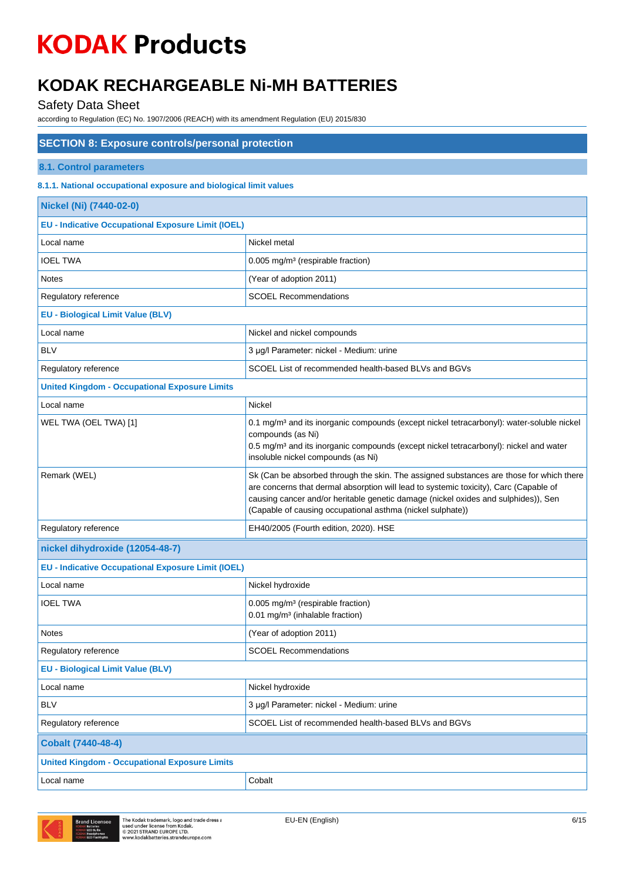# **KODAK RECHARGEABLE Ni-MH BATTERIES**

Safety Data Sheet

| <b>SECTION 8: Exposure controls/personal protection</b>           |                                                                                                                                                                                                                                                                                                                                      |  |
|-------------------------------------------------------------------|--------------------------------------------------------------------------------------------------------------------------------------------------------------------------------------------------------------------------------------------------------------------------------------------------------------------------------------|--|
| 8.1. Control parameters                                           |                                                                                                                                                                                                                                                                                                                                      |  |
| 8.1.1. National occupational exposure and biological limit values |                                                                                                                                                                                                                                                                                                                                      |  |
| Nickel (Ni) (7440-02-0)                                           |                                                                                                                                                                                                                                                                                                                                      |  |
| <b>EU - Indicative Occupational Exposure Limit (IOEL)</b>         |                                                                                                                                                                                                                                                                                                                                      |  |
| Local name                                                        | Nickel metal                                                                                                                                                                                                                                                                                                                         |  |
| <b>IOEL TWA</b>                                                   | 0.005 mg/m <sup>3</sup> (respirable fraction)                                                                                                                                                                                                                                                                                        |  |
| <b>Notes</b>                                                      | (Year of adoption 2011)                                                                                                                                                                                                                                                                                                              |  |
| Regulatory reference                                              | <b>SCOEL Recommendations</b>                                                                                                                                                                                                                                                                                                         |  |
| <b>EU - Biological Limit Value (BLV)</b>                          |                                                                                                                                                                                                                                                                                                                                      |  |
| Local name                                                        | Nickel and nickel compounds                                                                                                                                                                                                                                                                                                          |  |
| <b>BLV</b>                                                        | 3 µg/l Parameter: nickel - Medium: urine                                                                                                                                                                                                                                                                                             |  |
| Regulatory reference                                              | SCOEL List of recommended health-based BLVs and BGVs                                                                                                                                                                                                                                                                                 |  |
| <b>United Kingdom - Occupational Exposure Limits</b>              |                                                                                                                                                                                                                                                                                                                                      |  |
| Local name                                                        | Nickel                                                                                                                                                                                                                                                                                                                               |  |
| WEL TWA (OEL TWA) [1]                                             | 0.1 mg/m <sup>3</sup> and its inorganic compounds (except nickel tetracarbonyl): water-soluble nickel<br>compounds (as Ni)<br>0.5 mg/m <sup>3</sup> and its inorganic compounds (except nickel tetracarbonyl): nickel and water<br>insoluble nickel compounds (as Ni)                                                                |  |
| Remark (WEL)                                                      | Sk (Can be absorbed through the skin. The assigned substances are those for which there<br>are concerns that dermal absorption will lead to systemic toxicity), Carc (Capable of<br>causing cancer and/or heritable genetic damage (nickel oxides and sulphides)), Sen<br>(Capable of causing occupational asthma (nickel sulphate)) |  |
| Regulatory reference                                              | EH40/2005 (Fourth edition, 2020). HSE                                                                                                                                                                                                                                                                                                |  |
| nickel dihydroxide (12054-48-7)                                   |                                                                                                                                                                                                                                                                                                                                      |  |
| <b>EU - Indicative Occupational Exposure Limit (IOEL)</b>         |                                                                                                                                                                                                                                                                                                                                      |  |
| Local name                                                        | Nickel hydroxide                                                                                                                                                                                                                                                                                                                     |  |
| <b>IOEL TWA</b>                                                   | 0.005 mg/m <sup>3</sup> (respirable fraction)<br>0.01 mg/m <sup>3</sup> (inhalable fraction)                                                                                                                                                                                                                                         |  |
| <b>Notes</b>                                                      | (Year of adoption 2011)                                                                                                                                                                                                                                                                                                              |  |
| Regulatory reference                                              | <b>SCOEL Recommendations</b>                                                                                                                                                                                                                                                                                                         |  |
| <b>EU - Biological Limit Value (BLV)</b>                          |                                                                                                                                                                                                                                                                                                                                      |  |
| Local name                                                        | Nickel hydroxide                                                                                                                                                                                                                                                                                                                     |  |
| <b>BLV</b>                                                        | 3 µg/l Parameter: nickel - Medium: urine                                                                                                                                                                                                                                                                                             |  |
| Regulatory reference                                              | SCOEL List of recommended health-based BLVs and BGVs                                                                                                                                                                                                                                                                                 |  |
| <b>Cobalt (7440-48-4)</b>                                         |                                                                                                                                                                                                                                                                                                                                      |  |
| <b>United Kingdom - Occupational Exposure Limits</b>              |                                                                                                                                                                                                                                                                                                                                      |  |
| Local name                                                        | Cobalt                                                                                                                                                                                                                                                                                                                               |  |

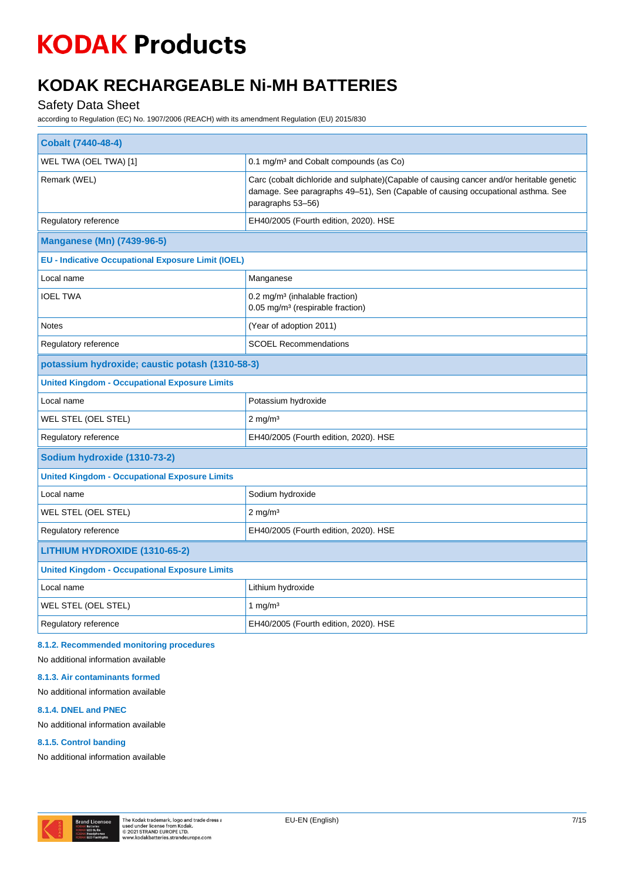# **KODAK RECHARGEABLE Ni-MH BATTERIES**

## Safety Data Sheet

according to Regulation (EC) No. 1907/2006 (REACH) with its amendment Regulation (EU) 2015/830

| <b>Cobalt (7440-48-4)</b>                                 |                                                                                                                                                                                                  |  |
|-----------------------------------------------------------|--------------------------------------------------------------------------------------------------------------------------------------------------------------------------------------------------|--|
| WEL TWA (OEL TWA) [1]                                     | 0.1 mg/m <sup>3</sup> and Cobalt compounds (as Co)                                                                                                                                               |  |
| Remark (WEL)                                              | Carc (cobalt dichloride and sulphate)(Capable of causing cancer and/or heritable genetic<br>damage. See paragraphs 49-51), Sen (Capable of causing occupational asthma. See<br>paragraphs 53-56) |  |
| Regulatory reference                                      | EH40/2005 (Fourth edition, 2020). HSE                                                                                                                                                            |  |
| <b>Manganese (Mn) (7439-96-5)</b>                         |                                                                                                                                                                                                  |  |
| <b>EU - Indicative Occupational Exposure Limit (IOEL)</b> |                                                                                                                                                                                                  |  |
| Local name                                                | Manganese                                                                                                                                                                                        |  |
| <b>IOEL TWA</b>                                           | 0.2 mg/m <sup>3</sup> (inhalable fraction)<br>0.05 mg/m <sup>3</sup> (respirable fraction)                                                                                                       |  |
| <b>Notes</b>                                              | (Year of adoption 2011)                                                                                                                                                                          |  |
| Regulatory reference                                      | <b>SCOEL Recommendations</b>                                                                                                                                                                     |  |
| potassium hydroxide; caustic potash (1310-58-3)           |                                                                                                                                                                                                  |  |
| <b>United Kingdom - Occupational Exposure Limits</b>      |                                                                                                                                                                                                  |  |
| Local name                                                | Potassium hydroxide                                                                                                                                                                              |  |
| WEL STEL (OEL STEL)                                       | $2$ mg/m <sup>3</sup>                                                                                                                                                                            |  |
| Regulatory reference                                      | EH40/2005 (Fourth edition, 2020). HSE                                                                                                                                                            |  |
| Sodium hydroxide (1310-73-2)                              |                                                                                                                                                                                                  |  |
| <b>United Kingdom - Occupational Exposure Limits</b>      |                                                                                                                                                                                                  |  |
| Local name                                                | Sodium hydroxide                                                                                                                                                                                 |  |
| WEL STEL (OEL STEL)                                       | $2 \text{ mg/m}^3$                                                                                                                                                                               |  |
| Regulatory reference                                      | EH40/2005 (Fourth edition, 2020). HSE                                                                                                                                                            |  |
| LITHIUM HYDROXIDE (1310-65-2)                             |                                                                                                                                                                                                  |  |
| <b>United Kingdom - Occupational Exposure Limits</b>      |                                                                                                                                                                                                  |  |
| Local name                                                | Lithium hydroxide                                                                                                                                                                                |  |
| WEL STEL (OEL STEL)                                       | 1 mg/m $3$                                                                                                                                                                                       |  |
| Regulatory reference                                      | EH40/2005 (Fourth edition, 2020). HSE                                                                                                                                                            |  |

### **8.1.2. Recommended monitoring procedures**

No additional information available

#### **8.1.3. Air contaminants formed**

No additional information available

#### **8.1.4. DNEL and PNEC**

No additional information available

#### **8.1.5. Control banding**

No additional information available

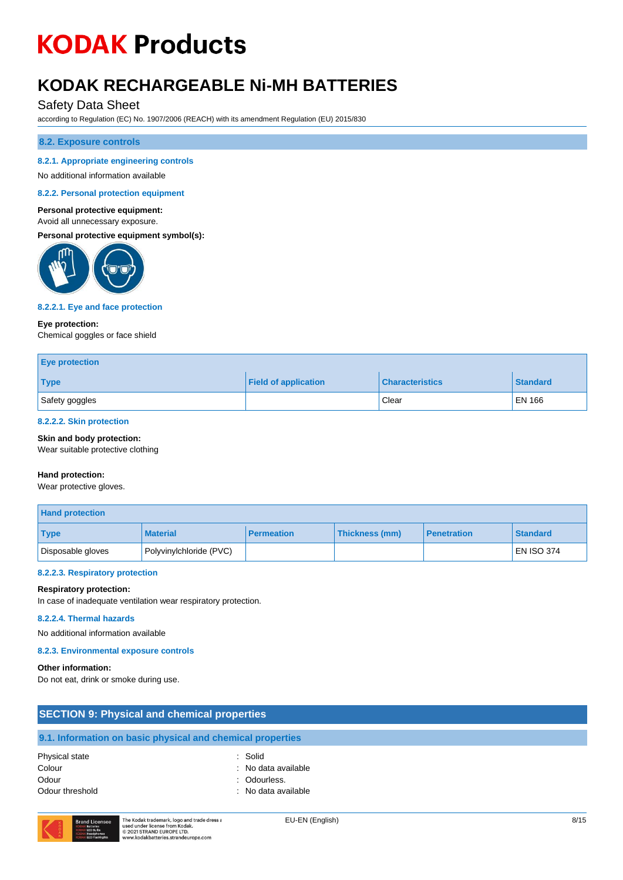# **KODAK RECHARGEABLE Ni-MH BATTERIES**

## Safety Data Sheet

according to Regulation (EC) No. 1907/2006 (REACH) with its amendment Regulation (EU) 2015/830

#### **8.2. Exposure controls**

#### **8.2.1. Appropriate engineering controls**

No additional information available

**8.2.2. Personal protection equipment**

#### **Personal protective equipment:**

#### Avoid all unnecessary exposure.

**Personal protective equipment symbol(s):**



#### **8.2.2.1. Eye and face protection**

#### **Eye protection:**

Chemical goggles or face shield

| <b>Eye protection</b> |                             |                        |                 |
|-----------------------|-----------------------------|------------------------|-----------------|
| <b>Type</b>           | <b>Field of application</b> | <b>Characteristics</b> | <b>Standard</b> |
| Safety goggles        |                             | Clear                  | EN 166          |

#### **8.2.2.2. Skin protection**

**Skin and body protection:**

Wear suitable protective clothing

#### **Hand protection:**

Wear protective gloves.

| <b>Hand protection</b> |                         |                   |                |                    |                   |
|------------------------|-------------------------|-------------------|----------------|--------------------|-------------------|
| <b>Type</b>            | <b>Material</b>         | <b>Permeation</b> | Thickness (mm) | <b>Penetration</b> | <b>Standard</b>   |
| Disposable gloves      | Polyvinylchloride (PVC) |                   |                |                    | <b>EN ISO 374</b> |

#### **8.2.2.3. Respiratory protection**

#### **Respiratory protection:**

In case of inadequate ventilation wear respiratory protection.

#### **8.2.2.4. Thermal hazards**

No additional information available

#### **8.2.3. Environmental exposure controls**

#### **Other information:**

Do not eat, drink or smoke during use.

| <b>SECTION 9: Physical and chemical properties</b>                   |                                |      |
|----------------------------------------------------------------------|--------------------------------|------|
| 9.1. Information on basic physical and chemical properties           |                                |      |
| Physical state<br>Colour                                             | : Solid<br>: No data available |      |
| Odour                                                                | : Odourless.                   |      |
| Odour threshold                                                      | : No data available            |      |
| The Kodak trademark, logo and trade dress a<br><b>Brand Licensee</b> | EU-EN (English)                | 8/15 |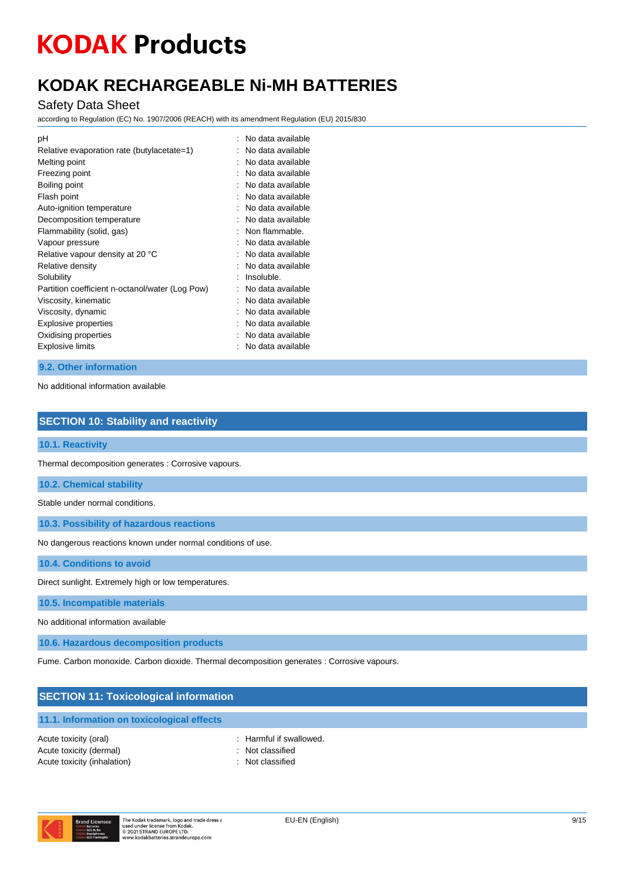# **KODAK RECHARGEABLE Ni-MH BATTERIES**

### Safety Data Sheet

according to Regulation (EC) No. 1907/2006 (REACH) with its amendment Regulation (EU) 2015/830

| : No data available |
|---------------------|
| No data available   |
| No data available   |
| No data available   |
| No data available   |
| No data available   |
| No data available   |
| No data available   |
| Non flammable.      |
| No data available   |
| No data available   |
| No data available   |
| Insoluble.          |
| No data available   |
| No data available   |
| No data available   |
| No data available   |
| No data available   |
| No data available   |
|                     |

### **9.2. Other information**

No additional information available

### **SECTION 10: Stability and reactivity**

**10.1. Reactivity**

Thermal decomposition generates : Corrosive vapours.

**10.2. Chemical stability**

Stable under normal conditions.

**10.3. Possibility of hazardous reactions**

No dangerous reactions known under normal conditions of use.

**10.4. Conditions to avoid**

Direct sunlight. Extremely high or low temperatures.

**10.5. Incompatible materials**

No additional information available

**10.6. Hazardous decomposition products**

Fume. Carbon monoxide. Carbon dioxide. Thermal decomposition generates : Corrosive vapours.

#### **SECTION 11: Toxicological information**

#### **11.1. Information on toxicological effects**

Acute toxicity (oral)  $\qquad \qquad$ : Harmful if swallowed. Acute toxicity (dermal) **Example 2** and the classified in the classified Acute toxicity (inhalation) **Example 2** Contract 2 Contract 2 Contract 2 Contract 2 Contract 2 Contract 2 Contract 2 Contract 2 Contract 2 Contract 2 Contract 2 Contract 2 Contract 2 Contract 2 Contract 2 Contract 2 Contra

- 
- 
- 

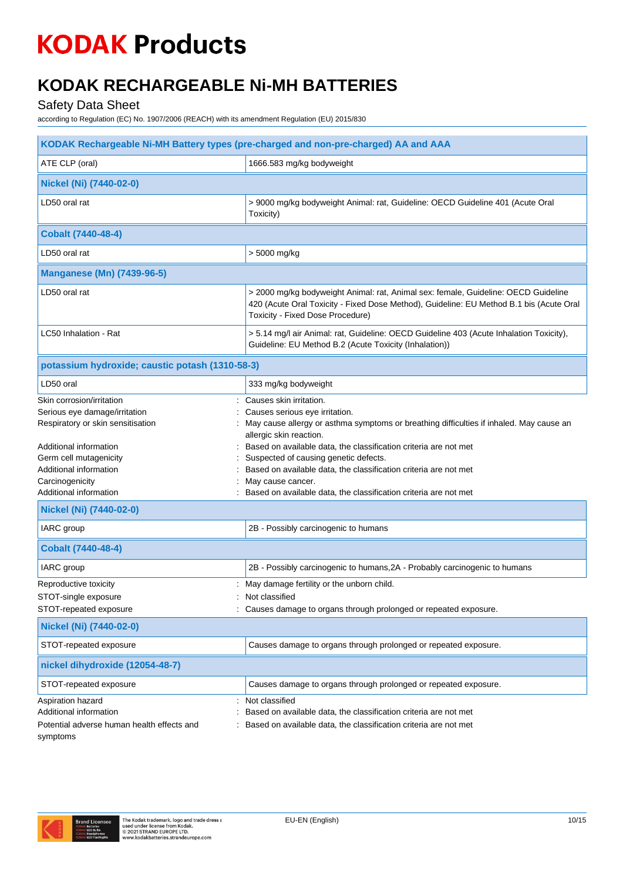# **KODAK RECHARGEABLE Ni-MH BATTERIES**

Safety Data Sheet

| KODAK Rechargeable Ni-MH Battery types (pre-charged and non-pre-charged) AA and AAA                                       |                                                                                                                                                                                                                                                     |  |
|---------------------------------------------------------------------------------------------------------------------------|-----------------------------------------------------------------------------------------------------------------------------------------------------------------------------------------------------------------------------------------------------|--|
| ATE CLP (oral)<br>1666.583 mg/kg bodyweight                                                                               |                                                                                                                                                                                                                                                     |  |
| Nickel (Ni) (7440-02-0)                                                                                                   |                                                                                                                                                                                                                                                     |  |
| LD50 oral rat                                                                                                             | > 9000 mg/kg bodyweight Animal: rat, Guideline: OECD Guideline 401 (Acute Oral<br>Toxicity)                                                                                                                                                         |  |
| <b>Cobalt (7440-48-4)</b>                                                                                                 |                                                                                                                                                                                                                                                     |  |
| LD50 oral rat                                                                                                             | > 5000 mg/kg                                                                                                                                                                                                                                        |  |
| <b>Manganese (Mn) (7439-96-5)</b>                                                                                         |                                                                                                                                                                                                                                                     |  |
| LD50 oral rat                                                                                                             | > 2000 mg/kg bodyweight Animal: rat, Animal sex: female, Guideline: OECD Guideline<br>420 (Acute Oral Toxicity - Fixed Dose Method), Guideline: EU Method B.1 bis (Acute Oral<br>Toxicity - Fixed Dose Procedure)                                   |  |
| LC50 Inhalation - Rat                                                                                                     | > 5.14 mg/l air Animal: rat, Guideline: OECD Guideline 403 (Acute Inhalation Toxicity),<br>Guideline: EU Method B.2 (Acute Toxicity (Inhalation))                                                                                                   |  |
| potassium hydroxide; caustic potash (1310-58-3)                                                                           |                                                                                                                                                                                                                                                     |  |
| LD50 oral                                                                                                                 | 333 mg/kg bodyweight                                                                                                                                                                                                                                |  |
| Skin corrosion/irritation<br>Serious eye damage/irritation<br>Respiratory or skin sensitisation<br>Additional information | Causes skin irritation.<br>Causes serious eye irritation.<br>May cause allergy or asthma symptoms or breathing difficulties if inhaled. May cause an<br>allergic skin reaction.<br>Based on available data, the classification criteria are not met |  |
| Germ cell mutagenicity<br>Additional information                                                                          | Suspected of causing genetic defects.<br>Based on available data, the classification criteria are not met                                                                                                                                           |  |
| Carcinogenicity                                                                                                           | May cause cancer.                                                                                                                                                                                                                                   |  |
| Additional information                                                                                                    | Based on available data, the classification criteria are not met                                                                                                                                                                                    |  |
| Nickel (Ni) (7440-02-0)                                                                                                   |                                                                                                                                                                                                                                                     |  |
| IARC group                                                                                                                | 2B - Possibly carcinogenic to humans                                                                                                                                                                                                                |  |
| <b>Cobalt (7440-48-4)</b>                                                                                                 |                                                                                                                                                                                                                                                     |  |
| IARC group                                                                                                                | 2B - Possibly carcinogenic to humans, 2A - Probably carcinogenic to humans                                                                                                                                                                          |  |
| Reproductive toxicity                                                                                                     | May damage fertility or the unborn child.                                                                                                                                                                                                           |  |
| STOT-single exposure<br>STOT-repeated exposure                                                                            | : Not classified<br>Causes damage to organs through prolonged or repeated exposure.                                                                                                                                                                 |  |
| Nickel (Ni) (7440-02-0)                                                                                                   |                                                                                                                                                                                                                                                     |  |
| STOT-repeated exposure                                                                                                    | Causes damage to organs through prolonged or repeated exposure.                                                                                                                                                                                     |  |
| nickel dihydroxide (12054-48-7)                                                                                           |                                                                                                                                                                                                                                                     |  |
| STOT-repeated exposure                                                                                                    | Causes damage to organs through prolonged or repeated exposure.                                                                                                                                                                                     |  |
| Aspiration hazard<br>Additional information<br>Potential adverse human health effects and<br>symptoms                     | Not classified<br>Based on available data, the classification criteria are not met<br>Based on available data, the classification criteria are not met                                                                                              |  |

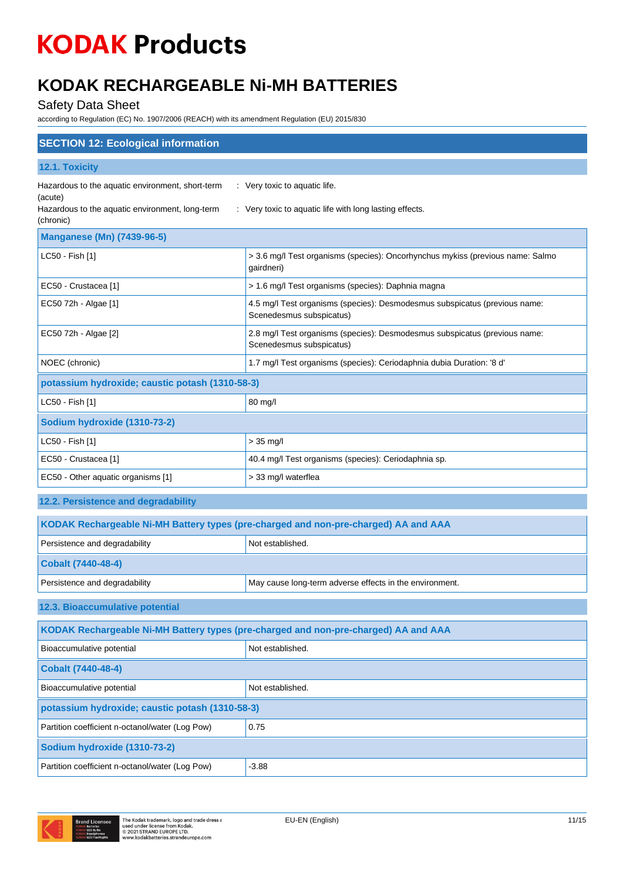# **KODAK RECHARGEABLE Ni-MH BATTERIES**

Safety Data Sheet

| <b>SECTION 12: Ecological information</b>                                           |                                                                                                        |  |
|-------------------------------------------------------------------------------------|--------------------------------------------------------------------------------------------------------|--|
| 12.1. Toxicity                                                                      |                                                                                                        |  |
| Hazardous to the aquatic environment, short-term<br>(acute)                         | : Very toxic to aquatic life.                                                                          |  |
| Hazardous to the aquatic environment, long-term<br>(chronic)                        | : Very toxic to aquatic life with long lasting effects.                                                |  |
| <b>Manganese (Mn) (7439-96-5)</b>                                                   |                                                                                                        |  |
| LC50 - Fish [1]                                                                     | > 3.6 mg/l Test organisms (species): Oncorhynchus mykiss (previous name: Salmo<br>gairdneri)           |  |
| EC50 - Crustacea [1]                                                                | > 1.6 mg/l Test organisms (species): Daphnia magna                                                     |  |
| EC50 72h - Algae [1]                                                                | 4.5 mg/l Test organisms (species): Desmodesmus subspicatus (previous name:<br>Scenedesmus subspicatus) |  |
| EC50 72h - Algae [2]                                                                | 2.8 mg/l Test organisms (species): Desmodesmus subspicatus (previous name:<br>Scenedesmus subspicatus) |  |
| NOEC (chronic)                                                                      | 1.7 mg/l Test organisms (species): Ceriodaphnia dubia Duration: '8 d'                                  |  |
| potassium hydroxide; caustic potash (1310-58-3)                                     |                                                                                                        |  |
| LC50 - Fish [1]                                                                     | 80 mg/l                                                                                                |  |
| Sodium hydroxide (1310-73-2)                                                        |                                                                                                        |  |
| LC50 - Fish [1]                                                                     | $> 35$ mg/l                                                                                            |  |
| EC50 - Crustacea [1]                                                                | 40.4 mg/l Test organisms (species): Ceriodaphnia sp.                                                   |  |
| EC50 - Other aquatic organisms [1]                                                  | > 33 mg/l waterflea                                                                                    |  |
| 12.2. Persistence and degradability                                                 |                                                                                                        |  |
| KODAK Rechargeable Ni-MH Battery types (pre-charged and non-pre-charged) AA and AAA |                                                                                                        |  |
| Persistence and degradability                                                       | Not established.                                                                                       |  |
| <b>Cobalt (7440-48-4)</b>                                                           |                                                                                                        |  |
| Persistence and degradability                                                       | May cause long-term adverse effects in the environment.                                                |  |
| 12.3. Bioaccumulative potential                                                     |                                                                                                        |  |
| KODAK Rechargeable Ni-MH Battery types (pre-charged and non-pre-charged) AA and AAA |                                                                                                        |  |
| Bioaccumulative potential                                                           | Not established.                                                                                       |  |
| <b>Cobalt (7440-48-4)</b>                                                           |                                                                                                        |  |
| Bioaccumulative potential                                                           | Not established.                                                                                       |  |
| potassium hydroxide; caustic potash (1310-58-3)                                     |                                                                                                        |  |
| Partition coefficient n-octanol/water (Log Pow)                                     | 0.75                                                                                                   |  |
| Sodium hydroxide (1310-73-2)                                                        |                                                                                                        |  |
| Partition coefficient n-octanol/water (Log Pow)                                     | $-3.88$                                                                                                |  |

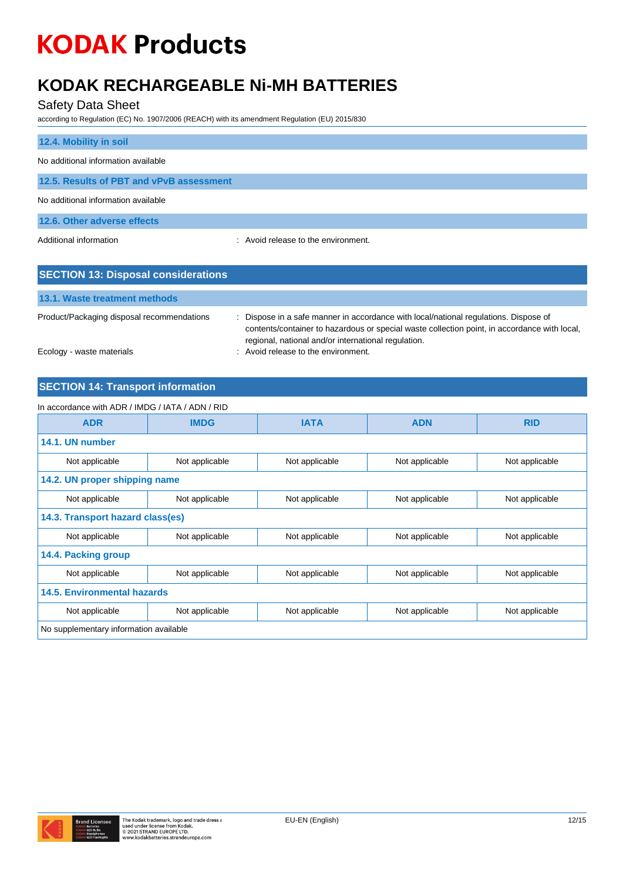## **KODAK RECHARGEABLE Ni-MH BATTERIES**

### Safety Data Sheet

according to Regulation (EC) No. 1907/2006 (REACH) with its amendment Regulation (EU) 2015/830

| 12.4. Mobility in soil                   |                                     |
|------------------------------------------|-------------------------------------|
| No additional information available      |                                     |
| 12.5. Results of PBT and vPvB assessment |                                     |
| No additional information available      |                                     |
| 12.6. Other adverse effects              |                                     |
| Additional information                   | : Avoid release to the environment. |

| <b>SECTION 13: Disposal considerations</b> |                                                                                                                                                                                                                                             |
|--------------------------------------------|---------------------------------------------------------------------------------------------------------------------------------------------------------------------------------------------------------------------------------------------|
| 13.1. Waste treatment methods              |                                                                                                                                                                                                                                             |
| Product/Packaging disposal recommendations | : Dispose in a safe manner in accordance with local/national regulations. Dispose of<br>contents/container to hazardous or special waste collection point, in accordance with local,<br>regional, national and/or international regulation. |
| Ecology - waste materials                  | : Avoid release to the environment.                                                                                                                                                                                                         |

## **SECTION 14: Transport information**

| In accordance with ADR / IMDG / IATA / ADN / RID |                |                |                |                |
|--------------------------------------------------|----------------|----------------|----------------|----------------|
| <b>ADR</b>                                       | <b>IMDG</b>    | <b>IATA</b>    | <b>ADN</b>     | <b>RID</b>     |
| 14.1. UN number                                  |                |                |                |                |
| Not applicable                                   | Not applicable | Not applicable | Not applicable | Not applicable |
| 14.2. UN proper shipping name                    |                |                |                |                |
| Not applicable                                   | Not applicable | Not applicable | Not applicable | Not applicable |
| 14.3. Transport hazard class(es)                 |                |                |                |                |
| Not applicable                                   | Not applicable | Not applicable | Not applicable | Not applicable |
| 14.4. Packing group                              |                |                |                |                |
| Not applicable                                   | Not applicable | Not applicable | Not applicable | Not applicable |
| <b>14.5. Environmental hazards</b>               |                |                |                |                |
| Not applicable                                   | Not applicable | Not applicable | Not applicable | Not applicable |
| No supplementary information available           |                |                |                |                |

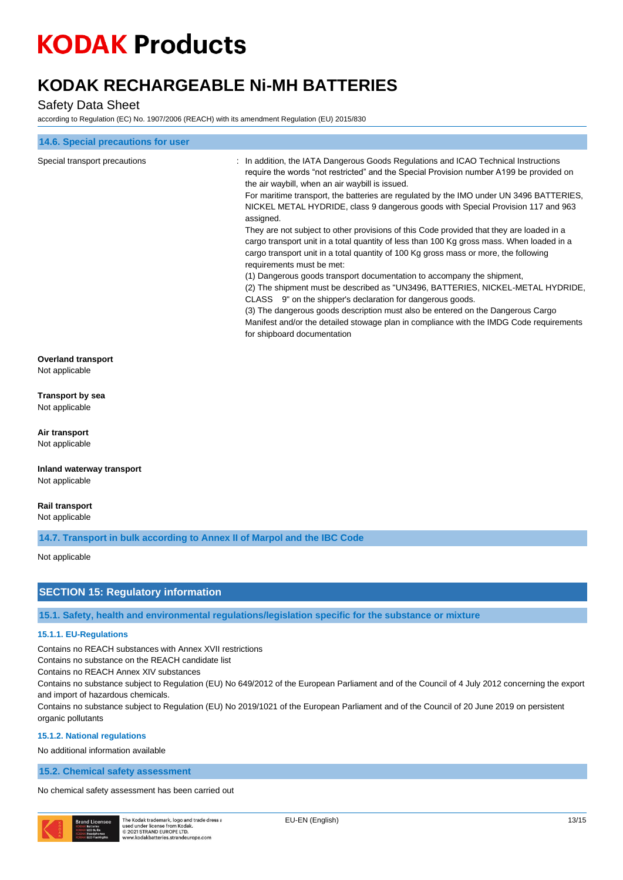# **KODAK RECHARGEABLE Ni-MH BATTERIES**

### Safety Data Sheet

according to Regulation (EC) No. 1907/2006 (REACH) with its amendment Regulation (EU) 2015/830

| 14.6. Special precautions for user                                       |                                                                                                                                                                                                                                                                                                                                                                                                                                                                                                                                                                                                                                                                                                                                                                                                                                                                                                                                                                                                                                                                                                                                                                                     |
|--------------------------------------------------------------------------|-------------------------------------------------------------------------------------------------------------------------------------------------------------------------------------------------------------------------------------------------------------------------------------------------------------------------------------------------------------------------------------------------------------------------------------------------------------------------------------------------------------------------------------------------------------------------------------------------------------------------------------------------------------------------------------------------------------------------------------------------------------------------------------------------------------------------------------------------------------------------------------------------------------------------------------------------------------------------------------------------------------------------------------------------------------------------------------------------------------------------------------------------------------------------------------|
| Special transport precautions                                            | : In addition, the IATA Dangerous Goods Regulations and ICAO Technical Instructions<br>require the words "not restricted" and the Special Provision number A199 be provided on<br>the air waybill, when an air waybill is issued.<br>For maritime transport, the batteries are regulated by the IMO under UN 3496 BATTERIES,<br>NICKEL METAL HYDRIDE, class 9 dangerous goods with Special Provision 117 and 963<br>assigned.<br>They are not subject to other provisions of this Code provided that they are loaded in a<br>cargo transport unit in a total quantity of less than 100 Kg gross mass. When loaded in a<br>cargo transport unit in a total quantity of 100 Kg gross mass or more, the following<br>requirements must be met:<br>(1) Dangerous goods transport documentation to accompany the shipment,<br>(2) The shipment must be described as "UN3496, BATTERIES, NICKEL-METAL HYDRIDE,<br>CLASS 9" on the shipper's declaration for dangerous goods.<br>(3) The dangerous goods description must also be entered on the Dangerous Cargo<br>Manifest and/or the detailed stowage plan in compliance with the IMDG Code requirements<br>for shipboard documentation |
| <b>Overland transport</b>                                                |                                                                                                                                                                                                                                                                                                                                                                                                                                                                                                                                                                                                                                                                                                                                                                                                                                                                                                                                                                                                                                                                                                                                                                                     |
| Not applicable                                                           |                                                                                                                                                                                                                                                                                                                                                                                                                                                                                                                                                                                                                                                                                                                                                                                                                                                                                                                                                                                                                                                                                                                                                                                     |
| Transport by sea<br>Not applicable                                       |                                                                                                                                                                                                                                                                                                                                                                                                                                                                                                                                                                                                                                                                                                                                                                                                                                                                                                                                                                                                                                                                                                                                                                                     |
| Air transport<br>Not applicable                                          |                                                                                                                                                                                                                                                                                                                                                                                                                                                                                                                                                                                                                                                                                                                                                                                                                                                                                                                                                                                                                                                                                                                                                                                     |
| Inland waterway transport<br>Not applicable                              |                                                                                                                                                                                                                                                                                                                                                                                                                                                                                                                                                                                                                                                                                                                                                                                                                                                                                                                                                                                                                                                                                                                                                                                     |
| Rail transport<br>Not applicable                                         |                                                                                                                                                                                                                                                                                                                                                                                                                                                                                                                                                                                                                                                                                                                                                                                                                                                                                                                                                                                                                                                                                                                                                                                     |
| 14.7. Transport in bulk according to Annex II of Marpol and the IBC Code |                                                                                                                                                                                                                                                                                                                                                                                                                                                                                                                                                                                                                                                                                                                                                                                                                                                                                                                                                                                                                                                                                                                                                                                     |
| Not applicable                                                           |                                                                                                                                                                                                                                                                                                                                                                                                                                                                                                                                                                                                                                                                                                                                                                                                                                                                                                                                                                                                                                                                                                                                                                                     |
| <b>SECTION 15: Regulatory information</b>                                |                                                                                                                                                                                                                                                                                                                                                                                                                                                                                                                                                                                                                                                                                                                                                                                                                                                                                                                                                                                                                                                                                                                                                                                     |
|                                                                          | 15.1. Safety, health and environmental regulations/legislation specific for the substance or mixture                                                                                                                                                                                                                                                                                                                                                                                                                                                                                                                                                                                                                                                                                                                                                                                                                                                                                                                                                                                                                                                                                |

### **15.1.1. EU-Regulations**

Contains no REACH substances with Annex XVII restrictions

Contains no substance on the REACH candidate list

Contains no REACH Annex XIV substances

Contains no substance subject to Regulation (EU) No 649/2012 of the European Parliament and of the Council of 4 July 2012 concerning the export and import of hazardous chemicals.

Contains no substance subject to Regulation (EU) No 2019/1021 of the European Parliament and of the Council of 20 June 2019 on persistent organic pollutants

#### **15.1.2. National regulations**

No additional information available

### **15.2. Chemical safety assessment**

No chemical safety assessment has been carried out



The Kodak trademark, logo and trade dress a<br>used under license from Kodak.<br>© 2021 STRAND EUROPE LTD. ww.kodakbatteries.st ndeurone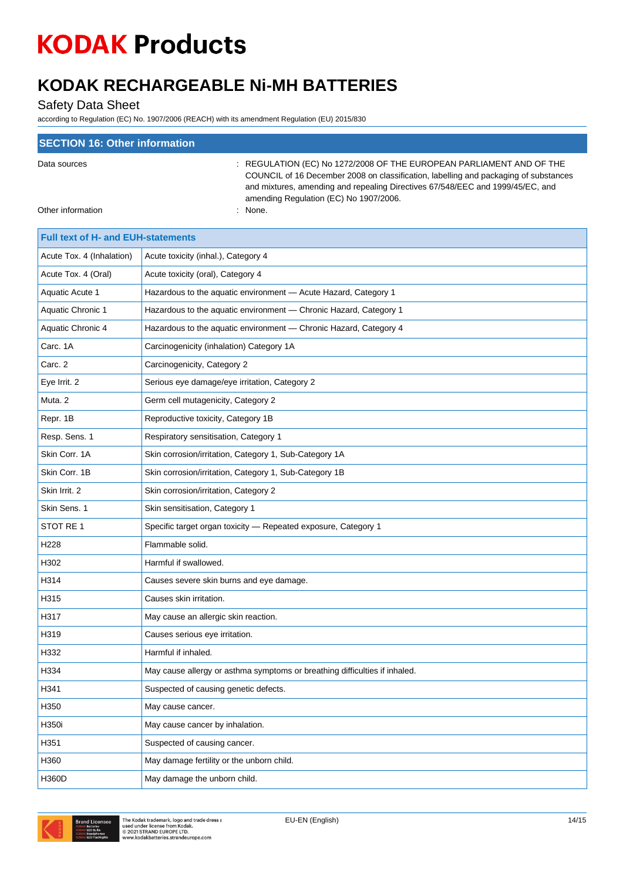# **KODAK RECHARGEABLE Ni-MH BATTERIES**

Safety Data Sheet

| <b>SECTION 16: Other information</b> |                                                                                                                                                                                                                                                                                          |
|--------------------------------------|------------------------------------------------------------------------------------------------------------------------------------------------------------------------------------------------------------------------------------------------------------------------------------------|
| Data sources                         | : REGULATION (EC) No 1272/2008 OF THE EUROPEAN PARLIAMENT AND OF THE<br>COUNCIL of 16 December 2008 on classification, labelling and packaging of substances<br>and mixtures, amending and repealing Directives 67/548/EEC and 1999/45/EC, and<br>amending Regulation (EC) No 1907/2006. |
| Other information                    | : None.                                                                                                                                                                                                                                                                                  |

| <b>Full text of H- and EUH-statements</b> |                                                                            |
|-------------------------------------------|----------------------------------------------------------------------------|
| Acute Tox. 4 (Inhalation)                 | Acute toxicity (inhal.), Category 4                                        |
| Acute Tox. 4 (Oral)                       | Acute toxicity (oral), Category 4                                          |
| Aquatic Acute 1                           | Hazardous to the aquatic environment - Acute Hazard, Category 1            |
| Aquatic Chronic 1                         | Hazardous to the aquatic environment - Chronic Hazard, Category 1          |
| Aquatic Chronic 4                         | Hazardous to the aquatic environment - Chronic Hazard, Category 4          |
| Carc. 1A                                  | Carcinogenicity (inhalation) Category 1A                                   |
| Carc. 2                                   | Carcinogenicity, Category 2                                                |
| Eye Irrit. 2                              | Serious eye damage/eye irritation, Category 2                              |
| Muta. 2                                   | Germ cell mutagenicity, Category 2                                         |
| Repr. 1B                                  | Reproductive toxicity, Category 1B                                         |
| Resp. Sens. 1                             | Respiratory sensitisation, Category 1                                      |
| Skin Corr. 1A                             | Skin corrosion/irritation, Category 1, Sub-Category 1A                     |
| Skin Corr. 1B                             | Skin corrosion/irritation, Category 1, Sub-Category 1B                     |
| Skin Irrit. 2                             | Skin corrosion/irritation, Category 2                                      |
| Skin Sens. 1                              | Skin sensitisation, Category 1                                             |
| STOT RE 1                                 | Specific target organ toxicity - Repeated exposure, Category 1             |
| H228                                      | Flammable solid.                                                           |
| H302                                      | Harmful if swallowed.                                                      |
| H314                                      | Causes severe skin burns and eye damage.                                   |
| H315                                      | Causes skin irritation.                                                    |
| H317                                      | May cause an allergic skin reaction.                                       |
| H319                                      | Causes serious eye irritation.                                             |
| H332                                      | Harmful if inhaled.                                                        |
| H334                                      | May cause allergy or asthma symptoms or breathing difficulties if inhaled. |
| H341                                      | Suspected of causing genetic defects.                                      |
| H350                                      | May cause cancer.                                                          |
| H350i                                     | May cause cancer by inhalation.                                            |
| H351                                      | Suspected of causing cancer.                                               |
| H360                                      | May damage fertility or the unborn child.                                  |
| H360D                                     | May damage the unborn child.                                               |